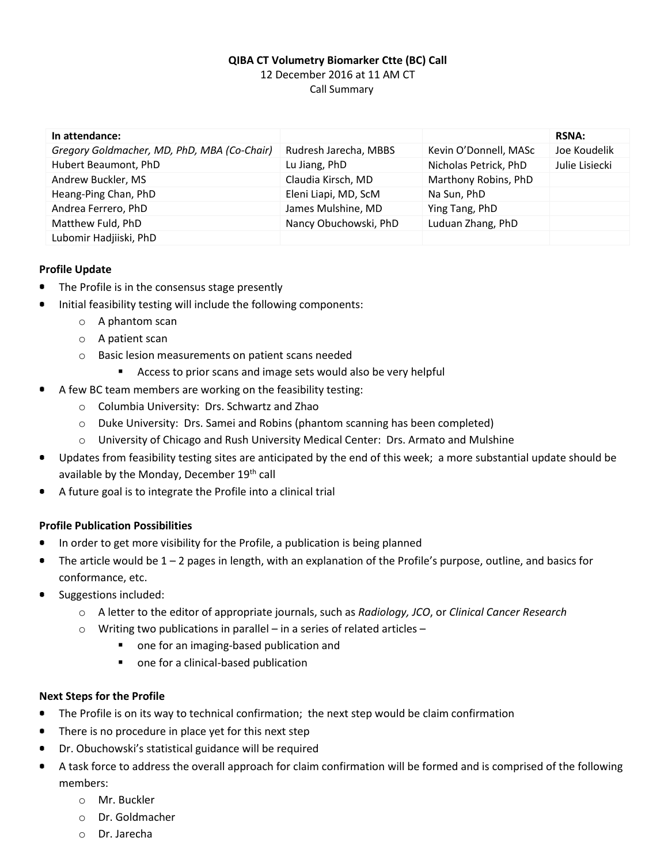## **QIBA CT Volumetry Biomarker Ctte (BC) Call** 12 December 2016 at 11 AM CT Call Summary

| In attendance:                              |                       |                       | <b>RSNA:</b>   |
|---------------------------------------------|-----------------------|-----------------------|----------------|
| Gregory Goldmacher, MD, PhD, MBA (Co-Chair) | Rudresh Jarecha, MBBS | Kevin O'Donnell, MASc | Joe Koudelik   |
| Hubert Beaumont, PhD                        | Lu Jiang, PhD         | Nicholas Petrick, PhD | Julie Lisiecki |
| Andrew Buckler, MS                          | Claudia Kirsch, MD    | Marthony Robins, PhD  |                |
| Heang-Ping Chan, PhD                        | Eleni Liapi, MD, ScM  | Na Sun, PhD           |                |
| Andrea Ferrero, PhD                         | James Mulshine, MD    | Ying Tang, PhD        |                |
| Matthew Fuld, PhD                           | Nancy Obuchowski, PhD | Luduan Zhang, PhD     |                |
| Lubomir Hadjiiski, PhD                      |                       |                       |                |

## **Profile Update**

- The Profile is in the consensus stage presently
- Initial feasibility testing will include the following components:
	- o A phantom scan
	- o A patient scan
	- o Basic lesion measurements on patient scans needed
		- **Access to prior scans and image sets would also be very helpful**
- A few BC team members are working on the feasibility testing:
	- o Columbia University: Drs. Schwartz and Zhao
	- o Duke University: Drs. Samei and Robins (phantom scanning has been completed)
	- $\circ$  University of Chicago and Rush University Medical Center: Drs. Armato and Mulshine
- Updates from feasibility testing sites are anticipated by the end of this week; a more substantial update should be available by the Monday, December 19th call
- A future goal is to integrate the Profile into a clinical trial

#### **Profile Publication Possibilities**

- In order to get more visibility for the Profile, a publication is being planned
- The article would be 1 2 pages in length, with an explanation of the Profile's purpose, outline, and basics for ٠ conformance, etc.
- ۰ Suggestions included:
	- o A letter to the editor of appropriate journals, such as *Radiology, JCO*, or *Clinical Cancer Research*
	- $\circ$  Writing two publications in parallel in a series of related articles
		- **nomage 1** one for an imaging-based publication and
		- one for a clinical-based publication

#### **Next Steps for the Profile**

- The Profile is on its way to technical confirmation; the next step would be claim confirmation
- There is no procedure in place yet for this next step  $\bullet$
- Dr. Obuchowski's statistical guidance will be required
- $\bullet$ A task force to address the overall approach for claim confirmation will be formed and is comprised of the following members:
	- o Mr. Buckler
	- o Dr. Goldmacher
	- o Dr. Jarecha